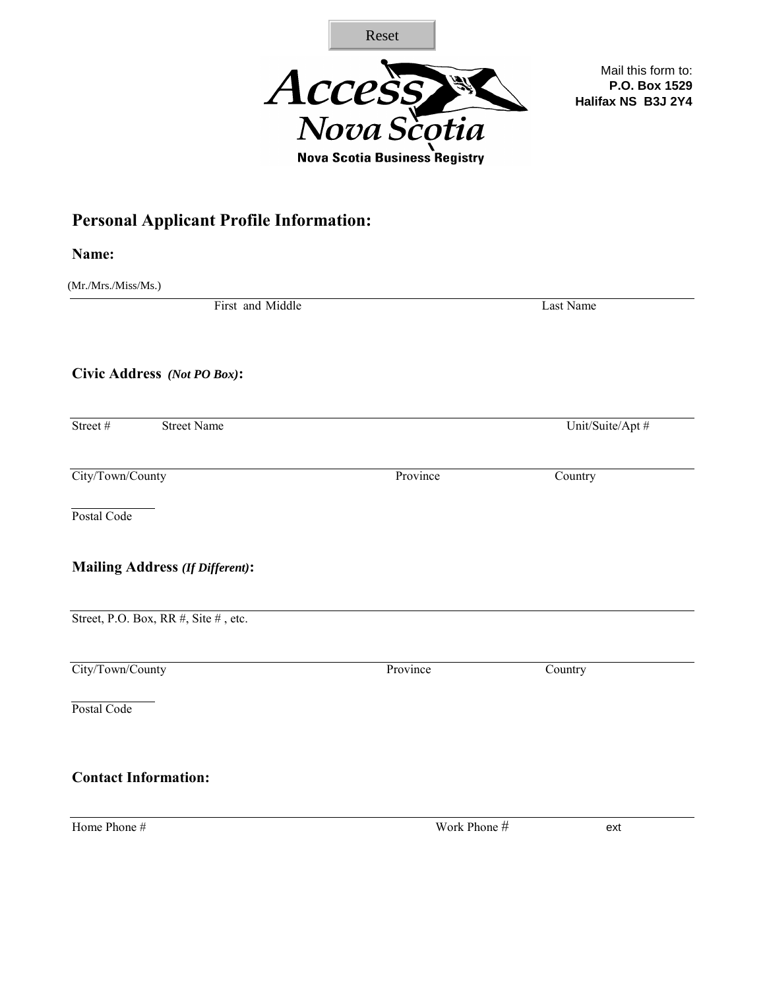

## **Personal Applicant Profile Information:**

|                                                | Reset                                |                                                           |
|------------------------------------------------|--------------------------------------|-----------------------------------------------------------|
|                                                | Access                               | Mail this form to:<br>P.O. Box 1529<br>Halifax NS B3J 2Y4 |
|                                                | <b>Nova Scotia Business Registry</b> |                                                           |
|                                                |                                      |                                                           |
| <b>Personal Applicant Profile Information:</b> |                                      |                                                           |
| Name:                                          |                                      |                                                           |
| (Mr./Mrs./Miss/Ms.)                            |                                      |                                                           |
| First and Middle                               |                                      | Last Name                                                 |
| Civic Address (Not PO Box):                    |                                      |                                                           |
| Street#<br><b>Street Name</b>                  |                                      | Unit/Suite/Apt #                                          |
| City/Town/County                               | Province                             | Country                                                   |
| Postal Code                                    |                                      |                                                           |
| <b>Mailing Address (If Different):</b>         |                                      |                                                           |
| Street, P.O. Box, RR #, Site #, etc.           |                                      |                                                           |
| City/Town/County                               | Province                             | Country                                                   |
| Postal Code                                    |                                      |                                                           |
| <b>Contact Information:</b>                    |                                      |                                                           |
| Home Phone #                                   | Work Phone #                         | ext                                                       |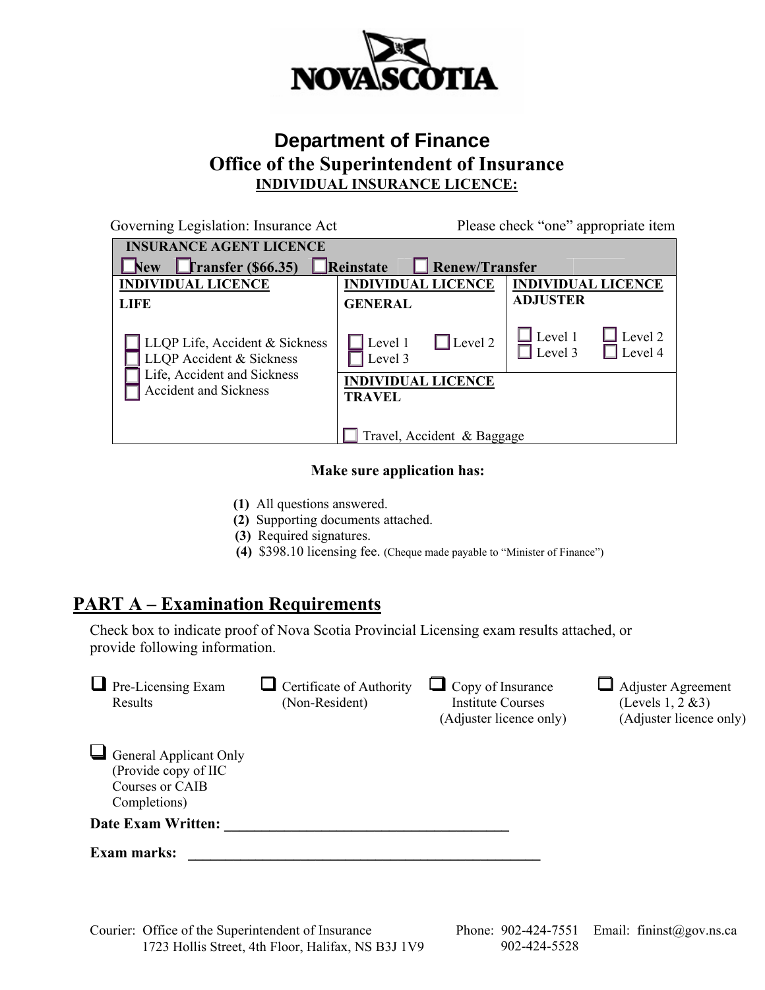

### **Department of Finance Office of the Superintendent of Insurance INDIVIDUAL INSURANCE LICENCE:**

| Governing Legislation: Insurance Act                                                      |                                            | Please check "one" appropriate item                      |
|-------------------------------------------------------------------------------------------|--------------------------------------------|----------------------------------------------------------|
| <b>INSURANCE AGENT LICENCE</b>                                                            |                                            |                                                          |
| $\Gamma$ ransfer (\$66.35)<br><b>New</b>                                                  | <b>Renew/Transfer</b><br>Reinstate         |                                                          |
| <b>INDIVIDUAL LICENCE</b>                                                                 | <b>INDIVIDUAL LICENCE</b>                  | <b>INDIVIDUAL LICENCE</b>                                |
| <b>LIFE</b>                                                                               | <b>GENERAL</b>                             | <b>ADJUSTER</b>                                          |
| LLQP Life, Accident & Sickness<br>LLQP Accident & Sickness<br>Life, Accident and Sickness | $\Box$ Level 2<br>Level 1<br>Level 3       | $\perp$ Level 1<br>Level 2<br>$\vert$ Level 3<br>Level 4 |
| Accident and Sickness                                                                     | <b>INDIVIDUAL LICENCE</b><br><b>TRAVEL</b> |                                                          |
|                                                                                           | Travel, Accident & Baggage                 |                                                          |

#### **Make sure application has:**

- **(1)** All questions answered.
- **(2)** Supporting documents attached.
- **(3)** Required signatures.
- **(4)** \$398.10 licensing fee. (Cheque made payable to "Minister of Finance")

#### **PART A – Examination Requirements**

Check box to indicate proof of Nova Scotia Provincial Licensing exam results attached, or provide following information.

| Pre-Licensing Exam<br>Results                                                      | Certificate of Authority<br>(Non-Resident) | $\Box$ Copy of Insurance<br><b>Institute Courses</b><br>(Adjuster licence only) | <b>Adjuster Agreement</b><br>(Levels $1, 2 \& 3$ )<br>(Adjuster licence only) |
|------------------------------------------------------------------------------------|--------------------------------------------|---------------------------------------------------------------------------------|-------------------------------------------------------------------------------|
| General Applicant Only<br>(Provide copy of IIC)<br>Courses or CAIB<br>Completions) |                                            |                                                                                 |                                                                               |
| <b>Date Exam Written:</b>                                                          |                                            |                                                                                 |                                                                               |
| <b>Exam marks:</b>                                                                 |                                            |                                                                                 |                                                                               |

Courier: Office of the Superintendent of Insurance Phone: 902-424-7551 Email: fininst@gov.ns.ca 1723 Hollis Street, 4th Floor, Halifax, NS B3J 1V9 902-424-5528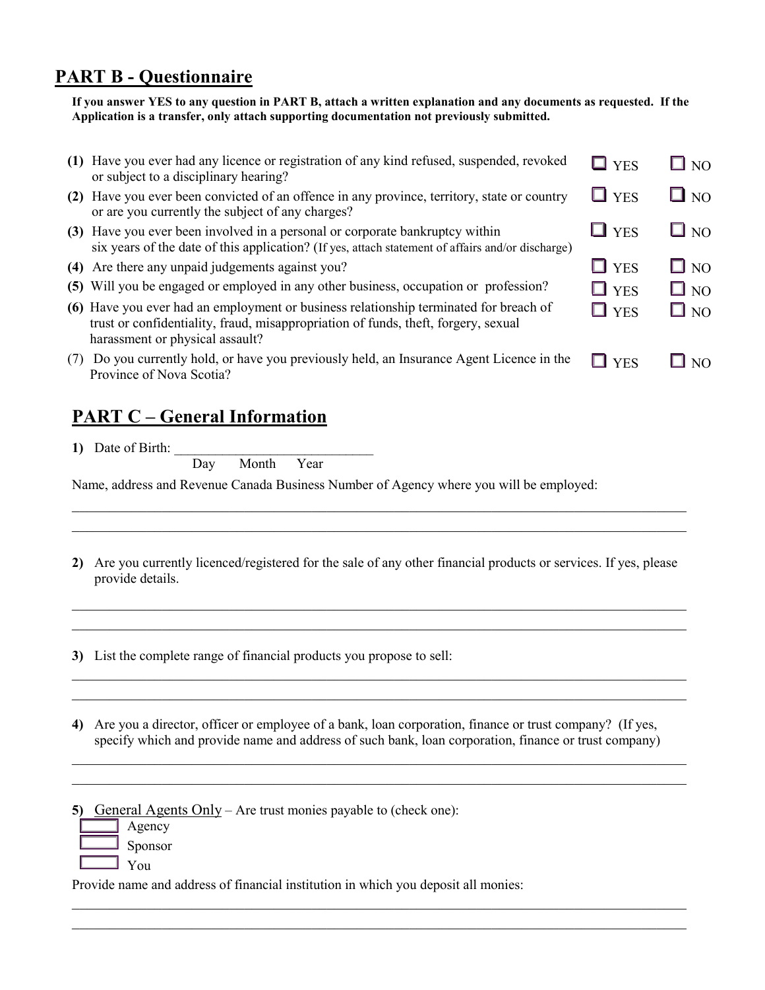### **PART B - Questionnaire**

**If you answer YES to any question in PART B, attach a written explanation and any documents as requested. If the Application is a transfer, only attach supporting documentation not previously submitted.** 

|     | (1) Have you ever had any licence or registration of any kind refused, suspended, revoked<br>or subject to a disciplinary hearing?                                                                             | $\Box$ YES | $\square$ NO |
|-----|----------------------------------------------------------------------------------------------------------------------------------------------------------------------------------------------------------------|------------|--------------|
|     | (2) Have you ever been convicted of an offence in any province, territory, state or country<br>or are you currently the subject of any charges?                                                                | $\Box$ YES | $\square$ NO |
|     | (3) Have you ever been involved in a personal or corporate bankruptcy within<br>six years of the date of this application? (If yes, attach statement of affairs and/or discharge)                              | $\Box$ YES | $\square$ NO |
|     | (4) Are there any unpaid judgements against you?                                                                                                                                                               | $\Box$ YES | $\Box$ NO    |
|     | (5) Will you be engaged or employed in any other business, occupation or profession?                                                                                                                           | $\Box$ YES | $\square$ NO |
|     | (6) Have you ever had an employment or business relationship terminated for breach of<br>trust or confidentiality, fraud, misappropriation of funds, theft, forgery, sexual<br>harassment or physical assault? | $\Box$ YES | $\Box$ NO    |
| (7) | Do you currently hold, or have you previously held, an Insurance Agent Licence in the<br>Province of Nova Scotia?                                                                                              | <b>YFS</b> | N()          |

#### **PART C – General Information**

**1)** Date of Birth:

Day Month Year

Name, address and Revenue Canada Business Number of Agency where you will be employed:

**2)** Are you currently licenced/registered for the sale of any other financial products or services. If yes, please provide details.

\_\_\_\_\_\_\_\_\_\_\_\_\_\_\_\_\_\_\_\_\_\_\_\_\_\_\_\_\_\_\_\_\_\_\_\_\_\_\_\_\_\_\_\_\_\_\_\_\_\_\_\_\_\_\_\_\_\_\_\_\_\_\_\_\_\_\_\_\_\_\_\_\_\_\_\_\_\_\_\_\_\_ \_\_\_\_\_\_\_\_\_\_\_\_\_\_\_\_\_\_\_\_\_\_\_\_\_\_\_\_\_\_\_\_\_\_\_\_\_\_\_\_\_\_\_\_\_\_\_\_\_\_\_\_\_\_\_\_\_\_\_\_\_\_\_\_\_\_\_\_\_\_\_\_\_\_\_\_\_\_\_\_\_\_

\_\_\_\_\_\_\_\_\_\_\_\_\_\_\_\_\_\_\_\_\_\_\_\_\_\_\_\_\_\_\_\_\_\_\_\_\_\_\_\_\_\_\_\_\_\_\_\_\_\_\_\_\_\_\_\_\_\_\_\_\_\_\_\_\_\_\_\_\_\_\_\_\_\_\_\_\_\_\_\_\_\_ \_\_\_\_\_\_\_\_\_\_\_\_\_\_\_\_\_\_\_\_\_\_\_\_\_\_\_\_\_\_\_\_\_\_\_\_\_\_\_\_\_\_\_\_\_\_\_\_\_\_\_\_\_\_\_\_\_\_\_\_\_\_\_\_\_\_\_\_\_\_\_\_\_\_\_\_\_\_\_\_\_\_

\_\_\_\_\_\_\_\_\_\_\_\_\_\_\_\_\_\_\_\_\_\_\_\_\_\_\_\_\_\_\_\_\_\_\_\_\_\_\_\_\_\_\_\_\_\_\_\_\_\_\_\_\_\_\_\_\_\_\_\_\_\_\_\_\_\_\_\_\_\_\_\_\_\_\_\_\_\_\_\_\_\_  $\_$  , and the contribution of the contribution of the contribution of the contribution of  $\mathcal{L}_\mathcal{A}$ 

\_\_\_\_\_\_\_\_\_\_\_\_\_\_\_\_\_\_\_\_\_\_\_\_\_\_\_\_\_\_\_\_\_\_\_\_\_\_\_\_\_\_\_\_\_\_\_\_\_\_\_\_\_\_\_\_\_\_\_\_\_\_\_\_\_\_\_\_\_\_\_\_\_\_\_\_\_\_\_\_\_\_ \_\_\_\_\_\_\_\_\_\_\_\_\_\_\_\_\_\_\_\_\_\_\_\_\_\_\_\_\_\_\_\_\_\_\_\_\_\_\_\_\_\_\_\_\_\_\_\_\_\_\_\_\_\_\_\_\_\_\_\_\_\_\_\_\_\_\_\_\_\_\_\_\_\_\_\_\_\_\_\_\_\_

\_\_\_\_\_\_\_\_\_\_\_\_\_\_\_\_\_\_\_\_\_\_\_\_\_\_\_\_\_\_\_\_\_\_\_\_\_\_\_\_\_\_\_\_\_\_\_\_\_\_\_\_\_\_\_\_\_\_\_\_\_\_\_\_\_\_\_\_\_\_\_\_\_\_\_\_\_\_\_\_\_\_ \_\_\_\_\_\_\_\_\_\_\_\_\_\_\_\_\_\_\_\_\_\_\_\_\_\_\_\_\_\_\_\_\_\_\_\_\_\_\_\_\_\_\_\_\_\_\_\_\_\_\_\_\_\_\_\_\_\_\_\_\_\_\_\_\_\_\_\_\_\_\_\_\_\_\_\_\_\_\_\_\_\_

**3)** List the complete range of financial products you propose to sell:

**4)** Are you a director, officer or employee of a bank, loan corporation, finance or trust company? (If yes, specify which and provide name and address of such bank, loan corporation, finance or trust company)

**5)** General Agents Only – Are trust monies payable to (check one):

- Agency
- Sponsor
- You

Provide name and address of financial institution in which you deposit all monies: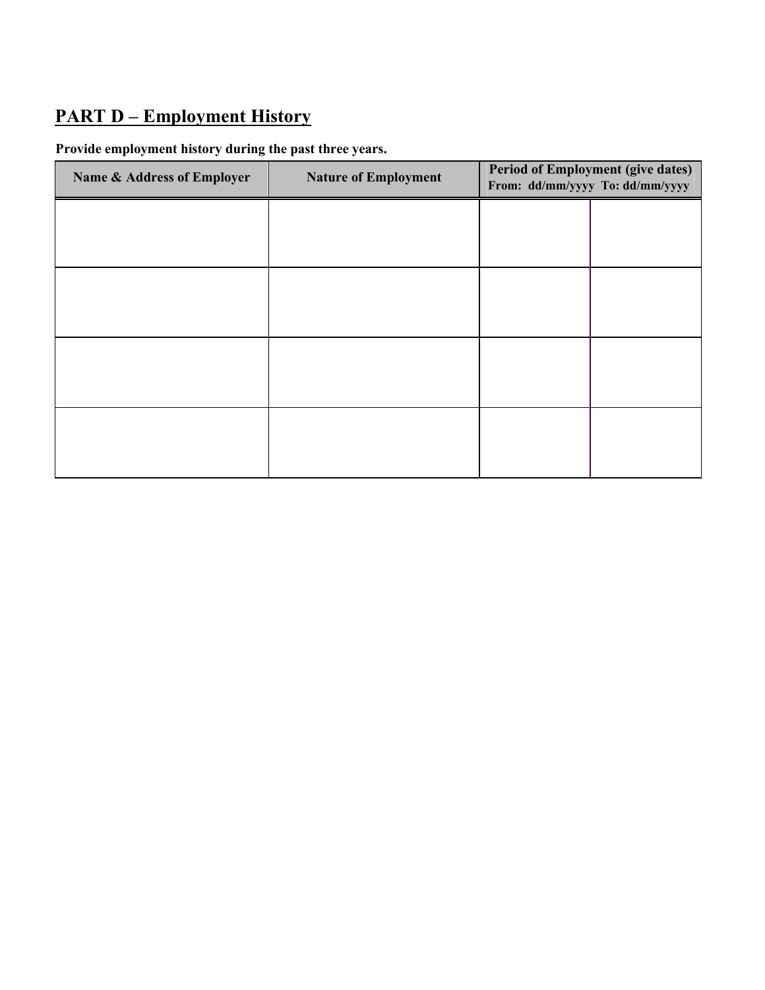# **PART D – Employment History**

#### **Provide employment history during the past three years.**

| Name & Address of Employer | <b>Nature of Employment</b> | <b>Period of Employment (give dates)</b><br>From: dd/mm/yyyy To: dd/mm/yyyy |  |
|----------------------------|-----------------------------|-----------------------------------------------------------------------------|--|
|                            |                             |                                                                             |  |
|                            |                             |                                                                             |  |
|                            |                             |                                                                             |  |
|                            |                             |                                                                             |  |
|                            |                             |                                                                             |  |
|                            |                             |                                                                             |  |
|                            |                             |                                                                             |  |
|                            |                             |                                                                             |  |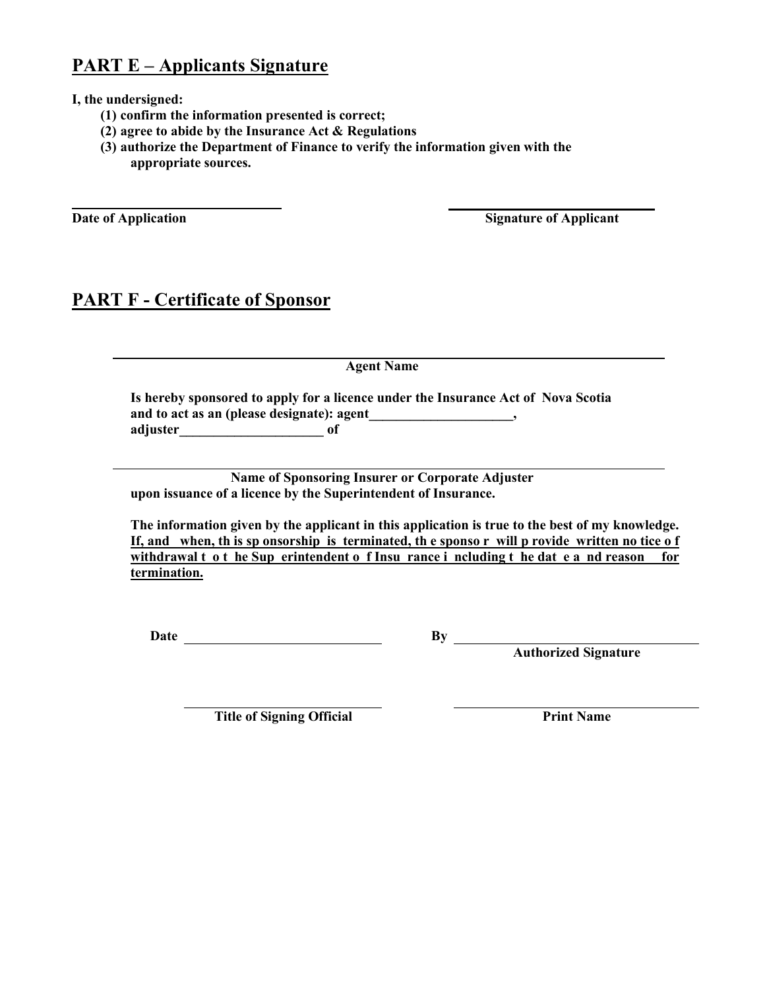### **PART E – Applicants Signature**

**I, the undersigned:**

- **(1) confirm the information presented is correct;**
- **(2) agree to abide by the Insurance Act & Regulations**
- **(3) authorize the Department of Finance to verify the information given with the appropriate sources.**

**Date of Application** Signature of Applicant

#### **PART F - Certificate of Sponsor**

**Agent Name**

**Is hereby sponsored to apply for a licence under the Insurance Act of Nova Scotia**  and to act as an (please designate): agent\_\_\_\_\_\_\_\_\_\_\_\_\_\_\_\_\_\_\_\_\_\_\_\_, **adjuster\_\_\_\_\_\_\_\_\_\_\_\_\_\_\_\_\_\_\_\_\_ of** 

**Name of Sponsoring Insurer or Corporate Adjuster upon issuance of a licence by the Superintendent of Insurance.** 

**The information given by the applicant in this application is true to the best of my knowledge. If, and when, th is sp onsorship is terminated, th e sponso r will p rovide written no tice o f**  withdrawal t o t he Sup erintendent o f Insu rance i ncluding t he dat e a nd reason for **termination.**

**Date By**

**Authorized Signature**

**Title of Signing Official Print Name**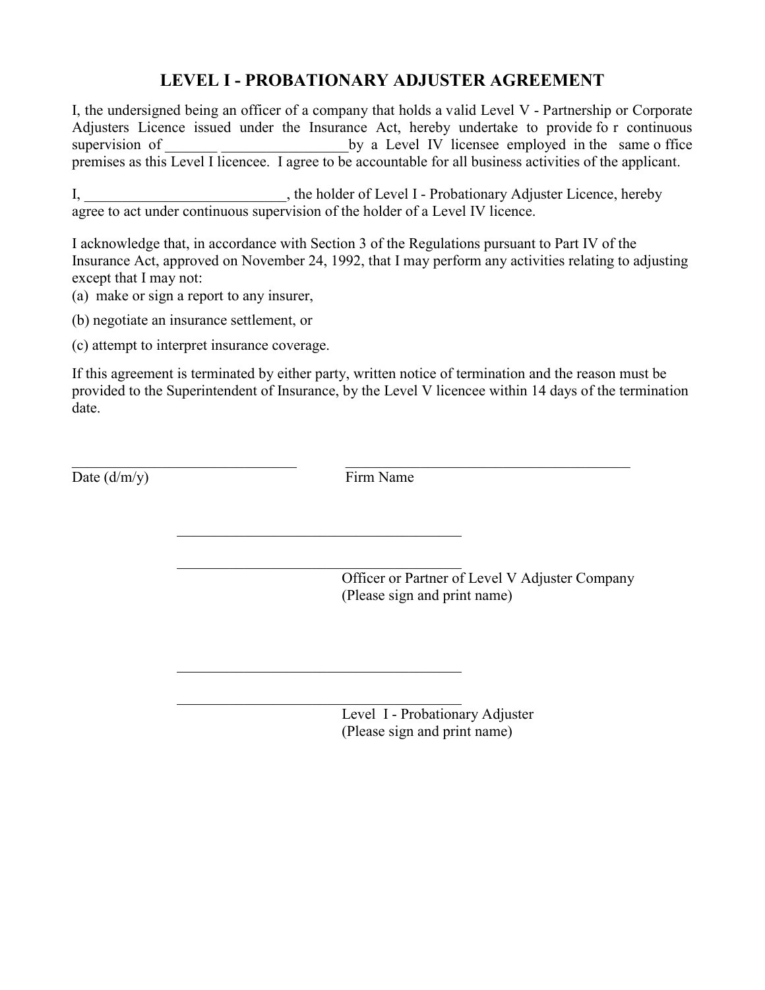#### **LEVEL I - PROBATIONARY ADJUSTER AGREEMENT**

I, the undersigned being an officer of a company that holds a valid Level V - Partnership or Corporate Adjusters Licence issued under the Insurance Act, hereby undertake to provide fo r continuous supervision of by a Level IV licensee employed in the same o ffice premises as this Level I licencee. I agree to be accountable for all business activities of the applicant.

I, the holder of Level I - Probationary Adjuster Licence, hereby agree to act under continuous supervision of the holder of a Level IV licence.

I acknowledge that, in accordance with Section 3 of the Regulations pursuant to Part IV of the Insurance Act, approved on November 24, 1992, that I may perform any activities relating to adjusting except that I may not:

(a) make or sign a report to any insurer,

(b) negotiate an insurance settlement, or

(c) attempt to interpret insurance coverage.

If this agreement is terminated by either party, written notice of termination and the reason must be provided to the Superintendent of Insurance, by the Level V licencee within 14 days of the termination date.

Date  $(d/m/v)$  Firm Name

 $\_$  , and the set of the set of the set of the set of the set of the set of the set of the set of the set of the set of the set of the set of the set of the set of the set of the set of the set of the set of the set of th

 $\overline{\phantom{a}}$  ,  $\overline{\phantom{a}}$  ,  $\overline{\phantom{a}}$  ,  $\overline{\phantom{a}}$  ,  $\overline{\phantom{a}}$  ,  $\overline{\phantom{a}}$  ,  $\overline{\phantom{a}}$  ,  $\overline{\phantom{a}}$  ,  $\overline{\phantom{a}}$  ,  $\overline{\phantom{a}}$  ,  $\overline{\phantom{a}}$  ,  $\overline{\phantom{a}}$  ,  $\overline{\phantom{a}}$  ,  $\overline{\phantom{a}}$  ,  $\overline{\phantom{a}}$  ,  $\overline{\phantom{a}}$ 

 $\overline{\phantom{a}}$  ,  $\overline{\phantom{a}}$  ,  $\overline{\phantom{a}}$  ,  $\overline{\phantom{a}}$  ,  $\overline{\phantom{a}}$  ,  $\overline{\phantom{a}}$  ,  $\overline{\phantom{a}}$  ,  $\overline{\phantom{a}}$  ,  $\overline{\phantom{a}}$  ,  $\overline{\phantom{a}}$  ,  $\overline{\phantom{a}}$  ,  $\overline{\phantom{a}}$  ,  $\overline{\phantom{a}}$  ,  $\overline{\phantom{a}}$  ,  $\overline{\phantom{a}}$  ,  $\overline{\phantom{a}}$ 

 $\overline{\phantom{a}}$  ,  $\overline{\phantom{a}}$  ,  $\overline{\phantom{a}}$  ,  $\overline{\phantom{a}}$  ,  $\overline{\phantom{a}}$  ,  $\overline{\phantom{a}}$  ,  $\overline{\phantom{a}}$  ,  $\overline{\phantom{a}}$  ,  $\overline{\phantom{a}}$  ,  $\overline{\phantom{a}}$  ,  $\overline{\phantom{a}}$  ,  $\overline{\phantom{a}}$  ,  $\overline{\phantom{a}}$  ,  $\overline{\phantom{a}}$  ,  $\overline{\phantom{a}}$  ,  $\overline{\phantom{a}}$ 

 $\overline{\phantom{a}}$  ,  $\overline{\phantom{a}}$  ,  $\overline{\phantom{a}}$  ,  $\overline{\phantom{a}}$  ,  $\overline{\phantom{a}}$  ,  $\overline{\phantom{a}}$  ,  $\overline{\phantom{a}}$  ,  $\overline{\phantom{a}}$  ,  $\overline{\phantom{a}}$  ,  $\overline{\phantom{a}}$  ,  $\overline{\phantom{a}}$  ,  $\overline{\phantom{a}}$  ,  $\overline{\phantom{a}}$  ,  $\overline{\phantom{a}}$  ,  $\overline{\phantom{a}}$  ,  $\overline{\phantom{a}}$ Officer or Partner of Level V Adjuster Company (Please sign and print name)

> Level I - Probationary Adjuster (Please sign and print name)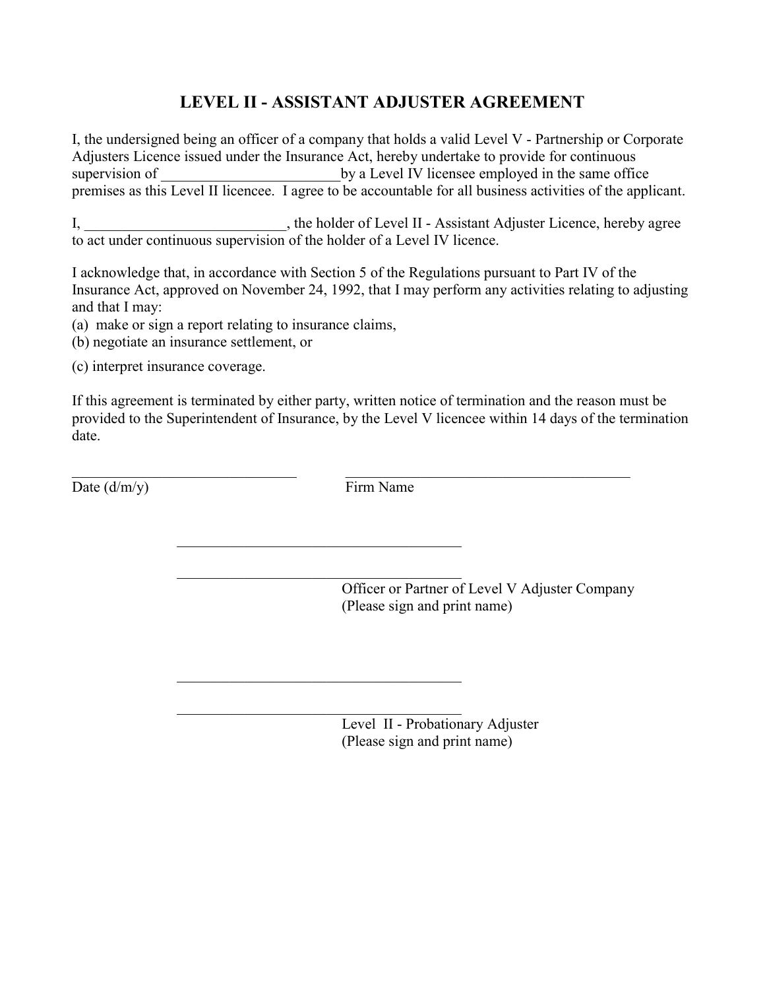## **LEVEL II - ASSISTANT ADJUSTER AGREEMENT**

I, the undersigned being an officer of a company that holds a valid Level V - Partnership or Corporate Adjusters Licence issued under the Insurance Act, hereby undertake to provide for continuous supervision of by a Level IV licensee employed in the same office premises as this Level II licencee. I agree to be accountable for all business activities of the applicant.

I, the holder of Level II - Assistant Adjuster Licence, hereby agree to act under continuous supervision of the holder of a Level IV licence.

I acknowledge that, in accordance with Section 5 of the Regulations pursuant to Part IV of the Insurance Act, approved on November 24, 1992, that I may perform any activities relating to adjusting and that I may:

(a) make or sign a report relating to insurance claims,

(b) negotiate an insurance settlement, or

(c) interpret insurance coverage.

If this agreement is terminated by either party, written notice of termination and the reason must be provided to the Superintendent of Insurance, by the Level V licencee within 14 days of the termination date.

Date  $(d/m/y)$  Firm Name

 $\_$  , and the set of the set of the set of the set of the set of the set of the set of the set of the set of the set of the set of the set of the set of the set of the set of the set of the set of the set of the set of th

 $\overline{\phantom{a}}$  ,  $\overline{\phantom{a}}$  ,  $\overline{\phantom{a}}$  ,  $\overline{\phantom{a}}$  ,  $\overline{\phantom{a}}$  ,  $\overline{\phantom{a}}$  ,  $\overline{\phantom{a}}$  ,  $\overline{\phantom{a}}$  ,  $\overline{\phantom{a}}$  ,  $\overline{\phantom{a}}$  ,  $\overline{\phantom{a}}$  ,  $\overline{\phantom{a}}$  ,  $\overline{\phantom{a}}$  ,  $\overline{\phantom{a}}$  ,  $\overline{\phantom{a}}$  ,  $\overline{\phantom{a}}$ 

 $\overline{\phantom{a}}$  ,  $\overline{\phantom{a}}$  ,  $\overline{\phantom{a}}$  ,  $\overline{\phantom{a}}$  ,  $\overline{\phantom{a}}$  ,  $\overline{\phantom{a}}$  ,  $\overline{\phantom{a}}$  ,  $\overline{\phantom{a}}$  ,  $\overline{\phantom{a}}$  ,  $\overline{\phantom{a}}$  ,  $\overline{\phantom{a}}$  ,  $\overline{\phantom{a}}$  ,  $\overline{\phantom{a}}$  ,  $\overline{\phantom{a}}$  ,  $\overline{\phantom{a}}$  ,  $\overline{\phantom{a}}$ 

 $\overline{\phantom{a}}$  ,  $\overline{\phantom{a}}$  ,  $\overline{\phantom{a}}$  ,  $\overline{\phantom{a}}$  ,  $\overline{\phantom{a}}$  ,  $\overline{\phantom{a}}$  ,  $\overline{\phantom{a}}$  ,  $\overline{\phantom{a}}$  ,  $\overline{\phantom{a}}$  ,  $\overline{\phantom{a}}$  ,  $\overline{\phantom{a}}$  ,  $\overline{\phantom{a}}$  ,  $\overline{\phantom{a}}$  ,  $\overline{\phantom{a}}$  ,  $\overline{\phantom{a}}$  ,  $\overline{\phantom{a}}$ 

 $\overline{\phantom{a}}$  ,  $\overline{\phantom{a}}$  ,  $\overline{\phantom{a}}$  ,  $\overline{\phantom{a}}$  ,  $\overline{\phantom{a}}$  ,  $\overline{\phantom{a}}$  ,  $\overline{\phantom{a}}$  ,  $\overline{\phantom{a}}$  ,  $\overline{\phantom{a}}$  ,  $\overline{\phantom{a}}$  ,  $\overline{\phantom{a}}$  ,  $\overline{\phantom{a}}$  ,  $\overline{\phantom{a}}$  ,  $\overline{\phantom{a}}$  ,  $\overline{\phantom{a}}$  ,  $\overline{\phantom{a}}$ Officer or Partner of Level V Adjuster Company (Please sign and print name)

> Level II - Probationary Adjuster (Please sign and print name)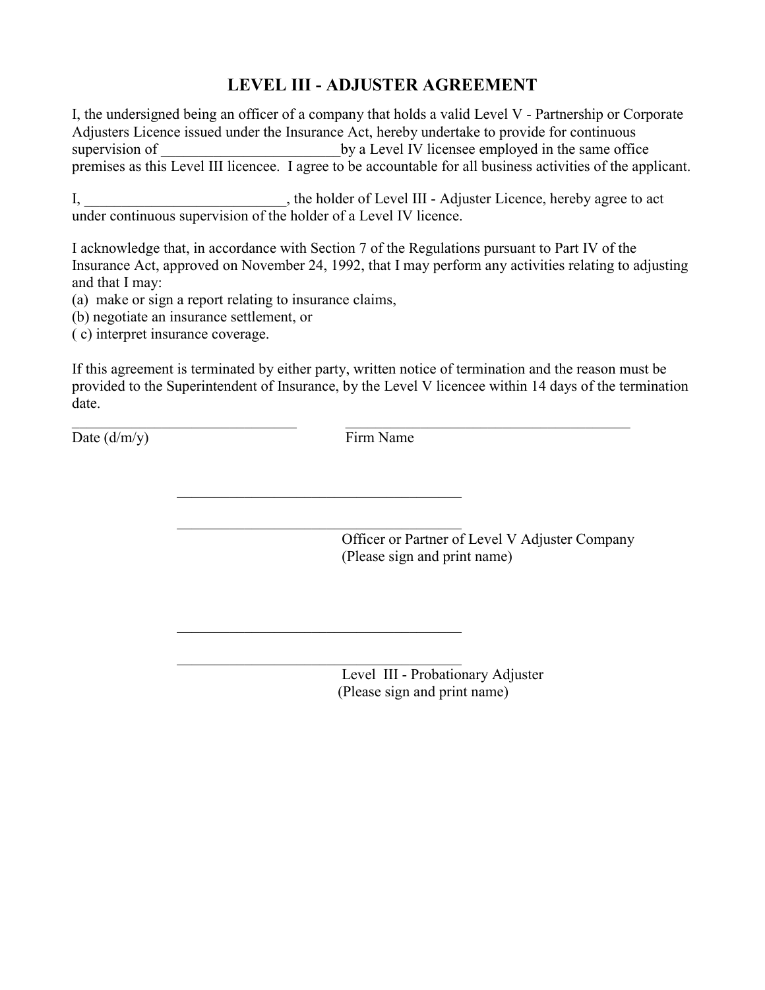#### **LEVEL III - ADJUSTER AGREEMENT**

I, the undersigned being an officer of a company that holds a valid Level V - Partnership or Corporate Adjusters Licence issued under the Insurance Act, hereby undertake to provide for continuous supervision of by a Level IV licensee employed in the same office premises as this Level III licencee. I agree to be accountable for all business activities of the applicant.

I, \_\_\_\_\_\_\_\_\_\_\_\_\_\_\_\_\_\_\_\_\_, the holder of Level III - Adjuster Licence, hereby agree to act under continuous supervision of the holder of a Level IV licence.

I acknowledge that, in accordance with Section 7 of the Regulations pursuant to Part IV of the Insurance Act, approved on November 24, 1992, that I may perform any activities relating to adjusting and that I may:

(a) make or sign a report relating to insurance claims,

(b) negotiate an insurance settlement, or

( c) interpret insurance coverage.

If this agreement is terminated by either party, written notice of termination and the reason must be provided to the Superintendent of Insurance, by the Level V licencee within 14 days of the termination date.

Date  $(d/m/v)$  Firm Name

 $\_$  , and the contribution of the contribution of  $\mathcal{L}_\mathcal{A}$  , and the contribution of  $\mathcal{L}_\mathcal{A}$ 

 $\overline{\phantom{a}}$  ,  $\overline{\phantom{a}}$  ,  $\overline{\phantom{a}}$  ,  $\overline{\phantom{a}}$  ,  $\overline{\phantom{a}}$  ,  $\overline{\phantom{a}}$  ,  $\overline{\phantom{a}}$  ,  $\overline{\phantom{a}}$  ,  $\overline{\phantom{a}}$  ,  $\overline{\phantom{a}}$  ,  $\overline{\phantom{a}}$  ,  $\overline{\phantom{a}}$  ,  $\overline{\phantom{a}}$  ,  $\overline{\phantom{a}}$  ,  $\overline{\phantom{a}}$  ,  $\overline{\phantom{a}}$ 

 $\mathcal{L}_\text{max}$  , and the set of the set of the set of the set of the set of the set of the set of the set of the set of the set of the set of the set of the set of the set of the set of the set of the set of the set of the

 $\overline{\phantom{a}}$  ,  $\overline{\phantom{a}}$  ,  $\overline{\phantom{a}}$  ,  $\overline{\phantom{a}}$  ,  $\overline{\phantom{a}}$  ,  $\overline{\phantom{a}}$  ,  $\overline{\phantom{a}}$  ,  $\overline{\phantom{a}}$  ,  $\overline{\phantom{a}}$  ,  $\overline{\phantom{a}}$  ,  $\overline{\phantom{a}}$  ,  $\overline{\phantom{a}}$  ,  $\overline{\phantom{a}}$  ,  $\overline{\phantom{a}}$  ,  $\overline{\phantom{a}}$  ,  $\overline{\phantom{a}}$ 

 $\overline{\phantom{a}}$  ,  $\overline{\phantom{a}}$  ,  $\overline{\phantom{a}}$  ,  $\overline{\phantom{a}}$  ,  $\overline{\phantom{a}}$  ,  $\overline{\phantom{a}}$  ,  $\overline{\phantom{a}}$  ,  $\overline{\phantom{a}}$  ,  $\overline{\phantom{a}}$  ,  $\overline{\phantom{a}}$  ,  $\overline{\phantom{a}}$  ,  $\overline{\phantom{a}}$  ,  $\overline{\phantom{a}}$  ,  $\overline{\phantom{a}}$  ,  $\overline{\phantom{a}}$  ,  $\overline{\phantom{a}}$ 

Officer or Partner of Level V Adjuster Company (Please sign and print name)

Level III - Probationary Adjuster (Please sign and print name)